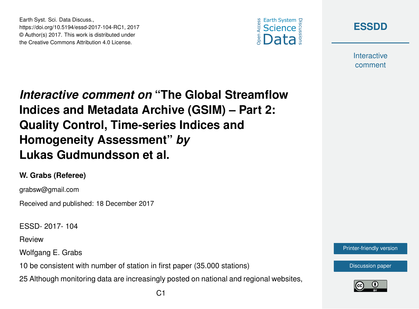Earth Syst. Sci. Data Discuss., https://doi.org/10.5194/essd-2017-104-RC1, 2017 © Author(s) 2017. This work is distributed under the Creative Commons Attribution 4.0 License.





**Interactive** comment

*Interactive comment on* **"The Global Streamflow Indices and Metadata Archive (GSIM) – Part 2: Quality Control, Time-series Indices and Homogeneity Assessment"** *by* **Lukas Gudmundsson et al.**

## **W. Grabs (Referee)**

grabsw@gmail.com

Received and published: 18 December 2017

ESSD- 2017- 104

Review

Wolfgang E. Grabs

10 be consistent with number of station in first paper (35.000 stations)

25 Although monitoring data are increasingly posted on national and regional websites,



[Discussion paper](https://www.earth-syst-sci-data-discuss.net/essd-2017-104)

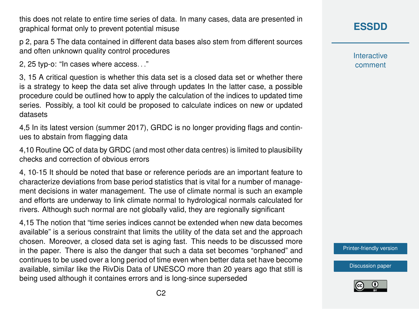this does not relate to entire time series of data. In many cases, data are presented in graphical format only to prevent potential misuse

p 2, para 5 The data contained in different data bases also stem from different sources and often unknown quality control procedures

2, 25 typ-o: "In cases where access. . ."

3, 15 A critical question is whether this data set is a closed data set or whether there is a strategy to keep the data set alive through updates In the latter case, a possible procedure could be outlined how to apply the calculation of the indices to updated time series. Possibly, a tool kit could be proposed to calculate indices on new or updated datasets

4,5 In its latest version (summer 2017), GRDC is no longer providing flags and continues to abstain from flagging data

4,10 Routine QC of data by GRDC (and most other data centres) is limited to plausibility checks and correction of obvious errors

4, 10-15 It should be noted that base or reference periods are an important feature to characterize deviations from base period statistics that is vital for a number of management decisions in water management. The use of climate normal is such an example and efforts are underway to link climate normal to hydrological normals calculated for rivers. Although such normal are not globally valid, they are regionally significant

4,15 The notion that "time series indices cannot be extended when new data becomes available" is a serious constraint that limits the utility of the data set and the approach chosen. Moreover, a closed data set is aging fast. This needs to be discussed more in the paper. There is also the danger that such a data set becomes "orphaned" and continues to be used over a long period of time even when better data set have become available, similar like the RivDis Data of UNESCO more than 20 years ago that still is being used although it containes errors and is long-since superseded

**[ESSDD](https://www.earth-syst-sci-data-discuss.net/)**

**Interactive** comment

[Printer-friendly version](https://www.earth-syst-sci-data-discuss.net/essd-2017-104/essd-2017-104-RC1-print.pdf)

[Discussion paper](https://www.earth-syst-sci-data-discuss.net/essd-2017-104)